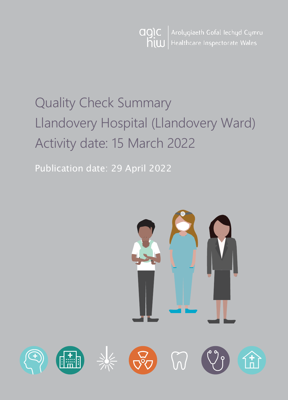

# Quality Check Summary Llandovery Hospital (Llandovery Ward) Activity date: 15 March 2022

Publication date: 29 April 2022

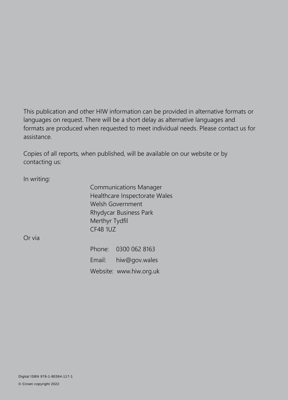This publication and other HIW information can be provided in alternative formats or languages on request. There will be a short delay as alternative languages and formats are produced when requested to meet individual needs. Please contact us for assistance.

Copies of all reports, when published, will be available on our website or by contacting us:

In writing:

Communications Manager Healthcare Inspectorate Wales Welsh Government Rhydycar Business Park Merthyr Tydfil CF48 1UZ

Or via

Phone: 0300 062 8163 Email: [hiw@gov.wales](mailto:hiw@gov.wales) Website: [www.hiw.org.uk](http://www.hiw.org.uk/)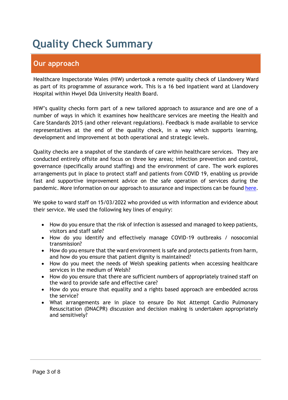# **Quality Check Summary**

# **Our approach**

Healthcare Inspectorate Wales (HIW) undertook a remote quality check of Llandovery Ward as part of its programme of assurance work. This is a 16 bed inpatient ward at Llandovery Hospital within Hwyel Dda University Health Board.

HIW's quality checks form part of a new tailored approach to assurance and are one of a number of ways in which it examines how healthcare services are meeting the Health and Care Standards 2015 (and other relevant regulations). Feedback is made available to service representatives at the end of the quality check, in a way which supports learning, development and improvement at both operational and strategic levels.

Quality checks are a snapshot of the standards of care within healthcare services. They are conducted entirely offsite and focus on three key areas; infection prevention and control, governance (specifically around staffing) and the environment of care. The work explores arrangements put in place to protect staff and patients from COVID 19, enabling us provide fast and supportive improvement advice on the safe operation of services during the pandemic. More information on our approach to assurance and inspections can be found [here.](https://hiw.org.uk/covid-19-response-and-our-approach-assurance-and-inspection)

We spoke to ward staff on 15/03/2022 who provided us with information and evidence about their service. We used the following key lines of enquiry:

- How do you ensure that the risk of infection is assessed and managed to keep patients, visitors and staff safe?
- How do you identify and effectively manage COVID-19 outbreaks / nosocomial transmission?
- How do you ensure that the ward environment is safe and protects patients from harm, and how do you ensure that patient dignity is maintained?
- How do you meet the needs of Welsh speaking patients when accessing healthcare services in the medium of Welsh?
- How do you ensure that there are sufficient numbers of appropriately trained staff on the ward to provide safe and effective care?
- How do you ensure that equality and a rights based approach are embedded across the service?
- What arrangements are in place to ensure Do Not Attempt Cardio Pulmonary Resuscitation (DNACPR) discussion and decision making is undertaken appropriately and sensitively?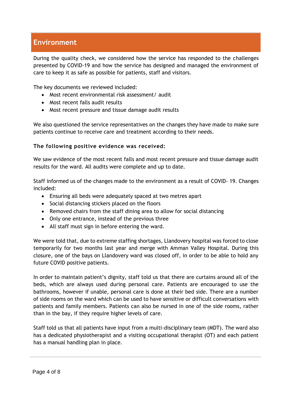# **Environment**

During the quality check, we considered how the service has responded to the challenges presented by COVID-19 and how the service has designed and managed the environment of care to keep it as safe as possible for patients, staff and visitors.

The key documents we reviewed included:

- Most recent environmental risk assessment/ audit
- Most recent falls audit results
- Most recent pressure and tissue damage audit results

We also questioned the service representatives on the changes they have made to make sure patients continue to receive care and treatment according to their needs.

#### **The following positive evidence was received:**

We saw evidence of the most recent falls and most recent pressure and tissue damage audit results for the ward. All audits were complete and up to date.

Staff informed us of the changes made to the environment as a result of COVID- 19. Changes included:

- Ensuring all beds were adequately spaced at two metres apart
- Social distancing stickers placed on the floors
- Removed chairs from the staff dining area to allow for social distancing
- Only one entrance, instead of the previous three
- All staff must sign in before entering the ward.

We were told that, due to extreme staffing shortages, Llandovery hospital was forced to close temporarily for two months last year and merge with Amman Valley Hospital. During this closure, one of the bays on Llandovery ward was closed off, in order to be able to hold any future COVID positive patients.

In order to maintain patient's dignity, staff told us that there are curtains around all of the beds, which are always used during personal care. Patients are encouraged to use the bathrooms, however if unable, personal care is done at their bed side. There are a number of side rooms on the ward which can be used to have sensitive or difficult conversations with patients and family members. Patients can also be nursed in one of the side rooms, rather than in the bay, if they require higher levels of care.

Staff told us that all patients have input from a multi-disciplinary team (MDT). The ward also has a dedicated physiotherapist and a visiting occupational therapist (OT) and each patient has a manual handling plan in place.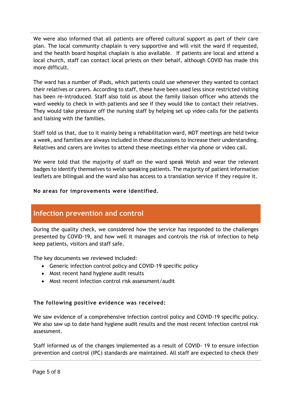We were also informed that all patients are offered cultural support as part of their care plan. The local community chaplain is very supportive and will visit the ward if requested, and the health board hospital chaplain is also available. If patients are local and attend a local church, staff can contact local priests on their behalf, although COVID has made this more difficult.

The ward has a number of iPads, which patients could use whenever they wanted to contact their relatives or carers. According to staff, these have been used less since restricted visiting has been re-introduced. Staff also told us about the family liaison officer who attends the ward weekly to check in with patients and see if they would like to contact their relatives. They would take pressure off the nursing staff by helping set up video calls for the patients and liaising with the families.

Staff told us that, due to it mainly being a rehabilitation ward, MDT meetings are held twice a week, and families are always included in these discussions to increase their understanding. Relatives and carers are invites to attend these meetings either via phone or video call.

We were told that the majority of staff on the ward speak Welsh and wear the relevant badges to identify themselves to welsh speaking patients. The majority of patient information leaflets are bilingual and the ward also has access to a translation service if they require it.

#### **No areas for improvements were identified.**

### **Infection prevention and control**

During the quality check, we considered how the service has responded to the challenges presented by COVID-19, and how well it manages and controls the risk of infection to help keep patients, visitors and staff safe.

The key documents we reviewed included:

- Generic infection control policy and COVID-19 specific policy
- Most recent hand hygiene audit results
- Most recent infection control risk assessment/audit

### **The following positive evidence was received:**

We saw evidence of a comprehensive infection control policy and COVID-19 specific policy. We also saw up to date hand hygiene audit results and the most recent infection control risk assessment.

Staff informed us of the changes implemented as a result of COVID- 19 to ensure infection prevention and control (IPC) standards are maintained. All staff are expected to check their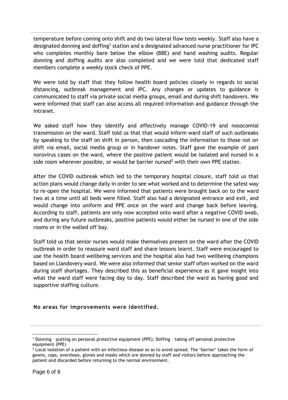temperature before coming onto shift and do two lateral flow tests weekly. Staff also have a designated donning and doffing<sup>1</sup> station and a designated advanced nurse practitioner for IPC who completes monthly bare below the elbow (BBE) and hand washing audits. Regular donning and doffing audits are also completed and we were told that dedicated staff members complete a weekly stock check of PPE.

We were told by staff that they follow health board policies closely in regards to social distancing, outbreak management and IPC. Any changes or updates to guidance is communicated to staff via private social media groups, email and during shift handovers. We were informed that staff can also access all required information and guidance through the intranet.

We asked staff how they identify and effectively manage COVID-19 and nosocomial transmission on the ward. Staff told us that that would inform ward staff of such outbreaks by speaking to the staff on shift in person, then cascading the information to those not on shift via email, social media group or in handover notes. Staff gave the example of past norovirus cases on the ward, where the positive patient would be isolated and nursed in a side room wherever possible, or would be barrier nursed<sup>2</sup> with their own PPE station.

After the COVID outbreak which led to the temporary hospital closure, staff told us that action plans would change daily in order to see what worked and to determine the safest way to re-open the hospital. We were informed that patients were brought back on to the ward two at a time until all beds were filled. Staff also had a designated entrance and exit, and would change into uniform and PPE once on the ward and change back before leaving. According to staff, patients are only now accepted onto ward after a negative COVID swab, and during any future outbreaks, positive patients would either be nursed in one of the side rooms or in the walled off bay.

Staff told us that senior nurses would make themselves present on the ward after the COVID outbreak in order to reassure ward staff and share lessons learnt. Staff were encouraged to use the health board wellbeing services and the hospital also had two wellbeing champions based on Llandovery ward. We were also informed that senior staff often worked on the ward during staff shortages. They described this as beneficial experience as it gave insight into what the ward staff were facing day to day. Staff described the ward as having good and supportive staffing culture.

#### **No areas for improvements were identified.**

 $\overline{a}$ 

<sup>&</sup>lt;sup>1</sup> Donning - putting on personal protective equipment (PPE); Doffing - taking off personal protective equipment (PPE)

 $2$  Local isolation of a patient with an infectious disease so as to avoid spread. The 'barrier' takes the form of gowns, caps, overshoes, gloves and masks which are donned by staff and visitors before approaching the patient and discarded before returning to the normal environment.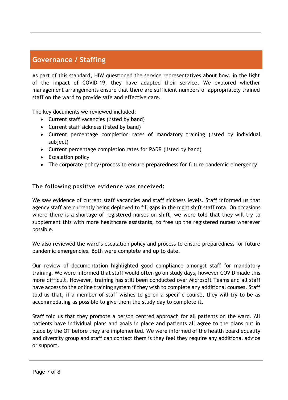# **Governance / Staffing**

As part of this standard, HIW questioned the service representatives about how, in the light of the impact of COVID-19, they have adapted their service. We explored whether management arrangements ensure that there are sufficient numbers of appropriately trained staff on the ward to provide safe and effective care.

The key documents we reviewed included:

- Current staff vacancies (listed by band)
- Current staff sickness (listed by band)
- Current percentage completion rates of mandatory training (listed by individual subject)
- Current percentage completion rates for PADR (listed by band)
- Escalation policy
- The corporate policy/process to ensure preparedness for future pandemic emergency

#### **The following positive evidence was received:**

We saw evidence of current staff vacancies and staff sickness levels. Staff informed us that agency staff are currently being deployed to fill gaps in the night shift staff rota. On occasions where there is a shortage of registered nurses on shift, we were told that they will try to supplement this with more healthcare assistants, to free up the registered nurses wherever possible.

We also reviewed the ward's escalation policy and process to ensure preparedness for future pandemic emergencies. Both were complete and up to date.

Our review of documentation highlighted good compliance amongst staff for mandatory training. We were informed that staff would often go on study days, however COVID made this more difficult. However, training has still been conducted over Microsoft Teams and all staff have access to the online training system if they wish to complete any additional courses. Staff told us that, if a member of staff wishes to go on a specific course, they will try to be as accommodating as possible to give them the study day to complete it.

Staff told us that they promote a person centred approach for all patients on the ward. All patients have individual plans and goals in place and patients all agree to the plans put in place by the OT before they are implemented. We were informed of the health board equality and diversity group and staff can contact them is they feel they require any additional advice or support.